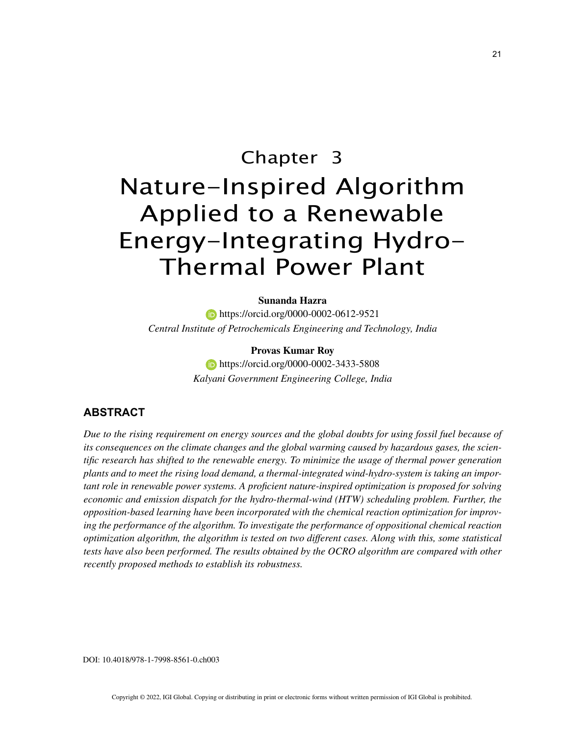# Chapter 3 Nature-Inspired Algorithm Applied to a Renewable Energy-Integrating Hydro-Thermal Power Plant

#### **Sunanda Hazra**

**https://orcid.org/0000-0002-0612-9521** *Central Institute of Petrochemicals Engineering and Technology, India*

#### **Provas Kumar Roy**

**https://orcid.org/0000-0002-3433-5808** *Kalyani Government Engineering College, India*

## **ABSTRACT**

*Due to the rising requirement on energy sources and the global doubts for using fossil fuel because of its consequences on the climate changes and the global warming caused by hazardous gases, the scientific research has shifted to the renewable energy. To minimize the usage of thermal power generation plants and to meet the rising load demand, a thermal-integrated wind-hydro-system is taking an important role in renewable power systems. A proficient nature-inspired optimization is proposed for solving economic and emission dispatch for the hydro-thermal-wind (HTW) scheduling problem. Further, the opposition-based learning have been incorporated with the chemical reaction optimization for improving the performance of the algorithm. To investigate the performance of oppositional chemical reaction optimization algorithm, the algorithm is tested on two different cases. Along with this, some statistical tests have also been performed. The results obtained by the OCRO algorithm are compared with other recently proposed methods to establish its robustness.*

DOI: 10.4018/978-1-7998-8561-0.ch003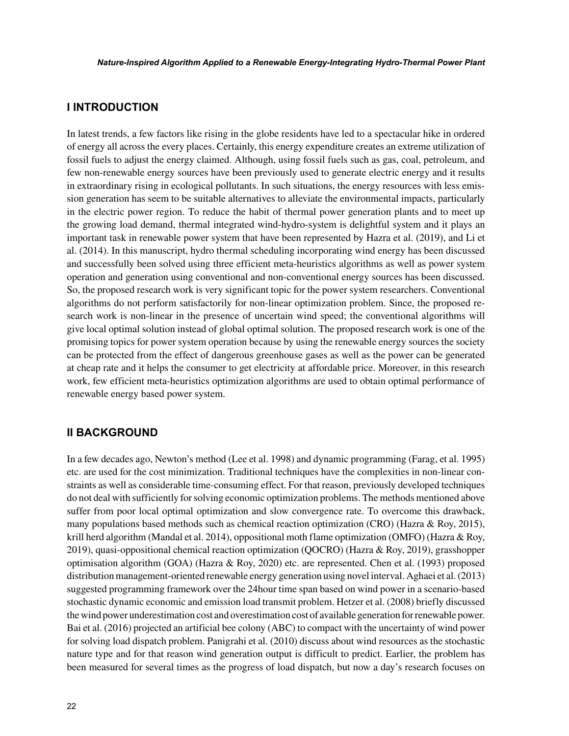## **I INTRODUCTION**

In latest trends, a few factors like rising in the globe residents have led to a spectacular hike in ordered of energy all across the every places. Certainly, this energy expenditure creates an extreme utilization of fossil fuels to adjust the energy claimed. Although, using fossil fuels such as gas, coal, petroleum, and few non-renewable energy sources have been previously used to generate electric energy and it results in extraordinary rising in ecological pollutants. In such situations, the energy resources with less emission generation has seem to be suitable alternatives to alleviate the environmental impacts, particularly in the electric power region. To reduce the habit of thermal power generation plants and to meet up the growing load demand, thermal integrated wind-hydro-system is delightful system and it plays an important task in renewable power system that have been represented by Hazra et al. (2019), and Li et al. (2014). In this manuscript, hydro thermal scheduling incorporating wind energy has been discussed and successfully been solved using three efficient meta-heuristics algorithms as well as power system operation and generation using conventional and non-conventional energy sources has been discussed. So, the proposed research work is very significant topic for the power system researchers. Conventional algorithms do not perform satisfactorily for non-linear optimization problem. Since, the proposed research work is non-linear in the presence of uncertain wind speed; the conventional algorithms will give local optimal solution instead of global optimal solution. The proposed research work is one of the promising topics for power system operation because by using the renewable energy sources the society can be protected from the effect of dangerous greenhouse gases as well as the power can be generated at cheap rate and it helps the consumer to get electricity at affordable price. Moreover, in this research work, few efficient meta-heuristics optimization algorithms are used to obtain optimal performance of renewable energy based power system.

## **II BACKGROUND**

In a few decades ago, Newton's method (Lee et al. 1998) and dynamic programming (Farag, et al. 1995) etc. are used for the cost minimization. Traditional techniques have the complexities in non-linear constraints as well as considerable time-consuming effect. For that reason, previously developed techniques do not deal with sufficiently for solving economic optimization problems. The methods mentioned above suffer from poor local optimal optimization and slow convergence rate. To overcome this drawback, many populations based methods such as chemical reaction optimization (CRO) (Hazra & Roy, 2015), krill herd algorithm (Mandal et al. 2014), oppositional moth flame optimization (OMFO) (Hazra & Roy, 2019), quasi-oppositional chemical reaction optimization (QOCRO) (Hazra & Roy, 2019), grasshopper optimisation algorithm (GOA) (Hazra & Roy, 2020) etc. are represented. Chen et al. (1993) proposed distribution management-oriented renewable energy generation using novel interval. Aghaei et al. (2013) suggested programming framework over the 24hour time span based on wind power in a scenario-based stochastic dynamic economic and emission load transmit problem. Hetzer et al. (2008) briefly discussed the wind power underestimation cost and overestimation cost of available generation for renewable power. Bai et al. (2016) projected an artificial bee colony (ABC) to compact with the uncertainty of wind power for solving load dispatch problem. Panigrahi et al. (2010) discuss about wind resources as the stochastic nature type and for that reason wind generation output is difficult to predict. Earlier, the problem has been measured for several times as the progress of load dispatch, but now a day's research focuses on